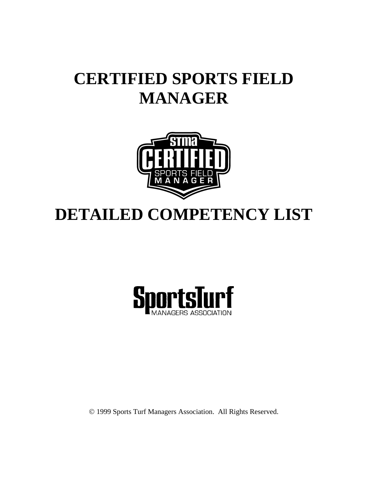# **CERTIFIED SPORTS FIELD MANAGER**



# **DETAILED COMPETENCY LIST**



© 1999 Sports Turf Managers Association. All Rights Reserved.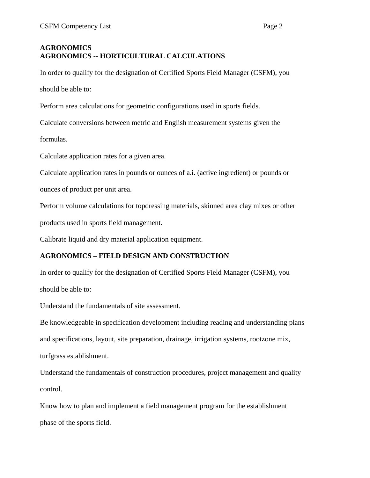# **AGRONOMICS AGRONOMICS -- HORTICULTURAL CALCULATIONS**

In order to qualify for the designation of Certified Sports Field Manager (CSFM), you should be able to:

Perform area calculations for geometric configurations used in sports fields.

Calculate conversions between metric and English measurement systems given the

formulas.

Calculate application rates for a given area.

Calculate application rates in pounds or ounces of a.i. (active ingredient) or pounds or

ounces of product per unit area.

Perform volume calculations for topdressing materials, skinned area clay mixes or other

products used in sports field management.

Calibrate liquid and dry material application equipment.

# **AGRONOMICS – FIELD DESIGN AND CONSTRUCTION**

In order to qualify for the designation of Certified Sports Field Manager (CSFM), you should be able to:

Understand the fundamentals of site assessment.

Be knowledgeable in specification development including reading and understanding plans

and specifications, layout, site preparation, drainage, irrigation systems, rootzone mix,

turfgrass establishment.

Understand the fundamentals of construction procedures, project management and quality control.

Know how to plan and implement a field management program for the establishment phase of the sports field.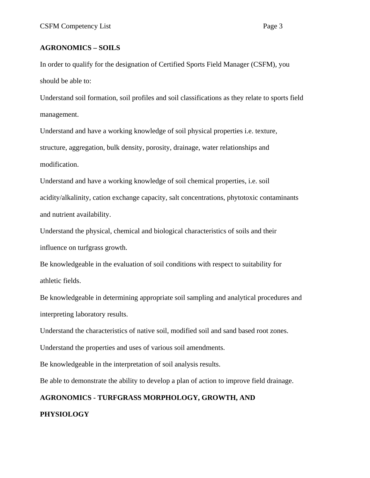## **AGRONOMICS – SOILS**

In order to qualify for the designation of Certified Sports Field Manager (CSFM), you should be able to:

Understand soil formation, soil profiles and soil classifications as they relate to sports field management.

Understand and have a working knowledge of soil physical properties i.e. texture, structure, aggregation, bulk density, porosity, drainage, water relationships and modification.

Understand and have a working knowledge of soil chemical properties, i.e. soil acidity/alkalinity, cation exchange capacity, salt concentrations, phytotoxic contaminants and nutrient availability.

Understand the physical, chemical and biological characteristics of soils and their influence on turfgrass growth.

Be knowledgeable in the evaluation of soil conditions with respect to suitability for athletic fields.

Be knowledgeable in determining appropriate soil sampling and analytical procedures and interpreting laboratory results.

Understand the characteristics of native soil, modified soil and sand based root zones.

Understand the properties and uses of various soil amendments.

Be knowledgeable in the interpretation of soil analysis results.

Be able to demonstrate the ability to develop a plan of action to improve field drainage.

# **AGRONOMICS - TURFGRASS MORPHOLOGY, GROWTH, AND**

## **PHYSIOLOGY**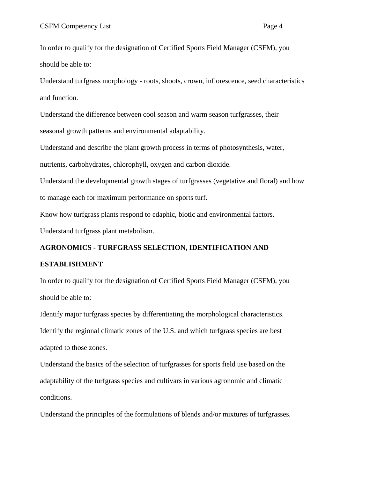In order to qualify for the designation of Certified Sports Field Manager (CSFM), you should be able to:

Understand turfgrass morphology - roots, shoots, crown, inflorescence, seed characteristics and function.

Understand the difference between cool season and warm season turfgrasses, their seasonal growth patterns and environmental adaptability.

Understand and describe the plant growth process in terms of photosynthesis, water,

nutrients, carbohydrates, chlorophyll, oxygen and carbon dioxide.

Understand the developmental growth stages of turfgrasses (vegetative and floral) and how to manage each for maximum performance on sports turf.

Know how turfgrass plants respond to edaphic, biotic and environmental factors.

Understand turfgrass plant metabolism.

### **AGRONOMICS - TURFGRASS SELECTION, IDENTIFICATION AND**

#### **ESTABLISHMENT**

In order to qualify for the designation of Certified Sports Field Manager (CSFM), you should be able to:

Identify major turfgrass species by differentiating the morphological characteristics. Identify the regional climatic zones of the U.S. and which turfgrass species are best adapted to those zones.

Understand the basics of the selection of turfgrasses for sports field use based on the adaptability of the turfgrass species and cultivars in various agronomic and climatic conditions.

Understand the principles of the formulations of blends and/or mixtures of turfgrasses.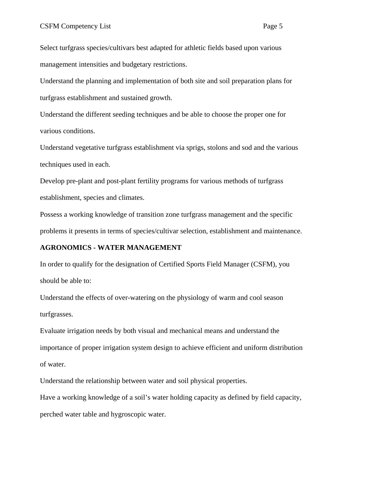Select turfgrass species/cultivars best adapted for athletic fields based upon various management intensities and budgetary restrictions.

Understand the planning and implementation of both site and soil preparation plans for turfgrass establishment and sustained growth.

Understand the different seeding techniques and be able to choose the proper one for various conditions.

Understand vegetative turfgrass establishment via sprigs, stolons and sod and the various techniques used in each.

Develop pre-plant and post-plant fertility programs for various methods of turfgrass establishment, species and climates.

Possess a working knowledge of transition zone turfgrass management and the specific problems it presents in terms of species/cultivar selection, establishment and maintenance.

#### **AGRONOMICS - WATER MANAGEMENT**

In order to qualify for the designation of Certified Sports Field Manager (CSFM), you should be able to:

Understand the effects of over-watering on the physiology of warm and cool season turfgrasses.

Evaluate irrigation needs by both visual and mechanical means and understand the importance of proper irrigation system design to achieve efficient and uniform distribution of water.

Understand the relationship between water and soil physical properties.

Have a working knowledge of a soil's water holding capacity as defined by field capacity,

perched water table and hygroscopic water.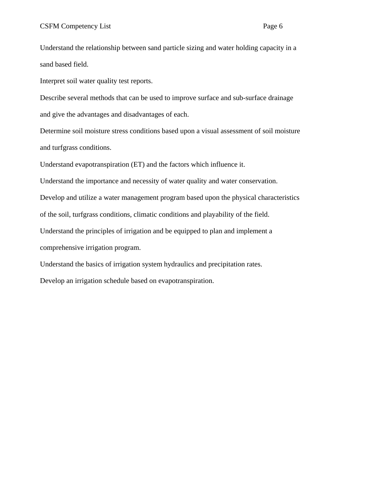Understand the relationship between sand particle sizing and water holding capacity in a sand based field.

Interpret soil water quality test reports.

Describe several methods that can be used to improve surface and sub-surface drainage and give the advantages and disadvantages of each.

Determine soil moisture stress conditions based upon a visual assessment of soil moisture and turfgrass conditions.

Understand evapotranspiration (ET) and the factors which influence it.

Understand the importance and necessity of water quality and water conservation.

Develop and utilize a water management program based upon the physical characteristics

of the soil, turfgrass conditions, climatic conditions and playability of the field.

Understand the principles of irrigation and be equipped to plan and implement a

comprehensive irrigation program.

Understand the basics of irrigation system hydraulics and precipitation rates.

Develop an irrigation schedule based on evapotranspiration.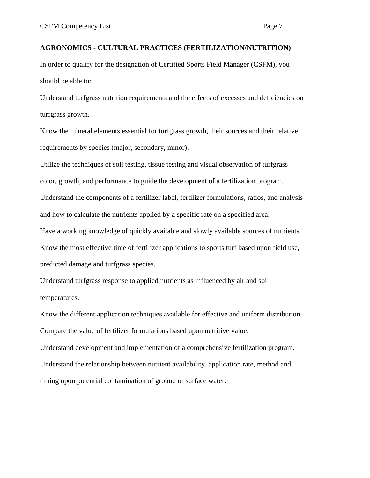### **AGRONOMICS - CULTURAL PRACTICES (FERTILIZATION/NUTRITION)**

In order to qualify for the designation of Certified Sports Field Manager (CSFM), you should be able to:

Understand turfgrass nutrition requirements and the effects of excesses and deficiencies on turfgrass growth.

Know the mineral elements essential for turfgrass growth, their sources and their relative requirements by species (major, secondary, minor).

Utilize the techniques of soil testing, tissue testing and visual observation of turfgrass

color, growth, and performance to guide the development of a fertilization program.

Understand the components of a fertilizer label, fertilizer formulations, ratios, and analysis and how to calculate the nutrients applied by a specific rate on a specified area.

Have a working knowledge of quickly available and slowly available sources of nutrients.

Know the most effective time of fertilizer applications to sports turf based upon field use, predicted damage and turfgrass species.

Understand turfgrass response to applied nutrients as influenced by air and soil temperatures.

Know the different application techniques available for effective and uniform distribution. Compare the value of fertilizer formulations based upon nutritive value.

Understand development and implementation of a comprehensive fertilization program. Understand the relationship between nutrient availability, application rate, method and timing upon potential contamination of ground or surface water.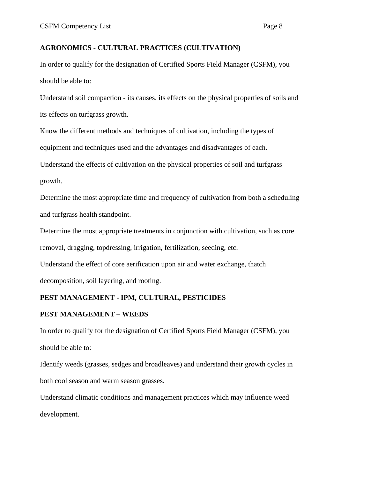## **AGRONOMICS - CULTURAL PRACTICES (CULTIVATION)**

In order to qualify for the designation of Certified Sports Field Manager (CSFM), you should be able to:

Understand soil compaction - its causes, its effects on the physical properties of soils and its effects on turfgrass growth.

Know the different methods and techniques of cultivation, including the types of

equipment and techniques used and the advantages and disadvantages of each.

Understand the effects of cultivation on the physical properties of soil and turfgrass

growth.

Determine the most appropriate time and frequency of cultivation from both a scheduling and turfgrass health standpoint.

Determine the most appropriate treatments in conjunction with cultivation, such as core

removal, dragging, topdressing, irrigation, fertilization, seeding, etc.

Understand the effect of core aerification upon air and water exchange, thatch decomposition, soil layering, and rooting.

# **PEST MANAGEMENT - IPM, CULTURAL, PESTICIDES**

## **PEST MANAGEMENT – WEEDS**

In order to qualify for the designation of Certified Sports Field Manager (CSFM), you should be able to:

Identify weeds (grasses, sedges and broadleaves) and understand their growth cycles in both cool season and warm season grasses.

Understand climatic conditions and management practices which may influence weed development.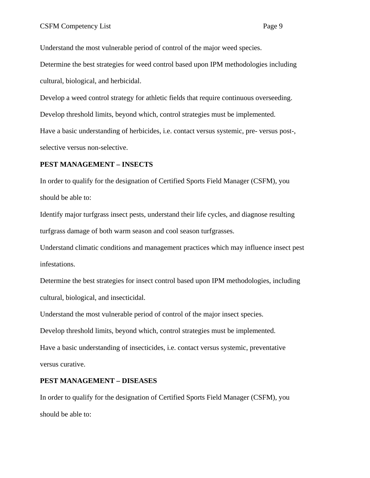Understand the most vulnerable period of control of the major weed species.

Determine the best strategies for weed control based upon IPM methodologies including cultural, biological, and herbicidal.

Develop a weed control strategy for athletic fields that require continuous overseeding.

Develop threshold limits, beyond which, control strategies must be implemented.

Have a basic understanding of herbicides, i.e. contact versus systemic, pre- versus post-, selective versus non-selective.

#### **PEST MANAGEMENT – INSECTS**

In order to qualify for the designation of Certified Sports Field Manager (CSFM), you should be able to:

Identify major turfgrass insect pests, understand their life cycles, and diagnose resulting turfgrass damage of both warm season and cool season turfgrasses.

Understand climatic conditions and management practices which may influence insect pest infestations.

Determine the best strategies for insect control based upon IPM methodologies, including cultural, biological, and insecticidal.

Understand the most vulnerable period of control of the major insect species.

Develop threshold limits, beyond which, control strategies must be implemented.

Have a basic understanding of insecticides, i.e. contact versus systemic, preventative versus curative.

#### **PEST MANAGEMENT – DISEASES**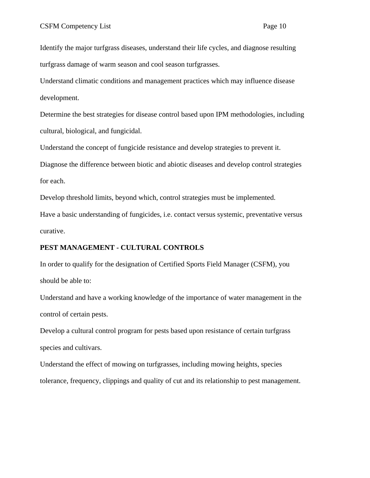Identify the major turfgrass diseases, understand their life cycles, and diagnose resulting turfgrass damage of warm season and cool season turfgrasses.

Understand climatic conditions and management practices which may influence disease development.

Determine the best strategies for disease control based upon IPM methodologies, including cultural, biological, and fungicidal.

Understand the concept of fungicide resistance and develop strategies to prevent it.

Diagnose the difference between biotic and abiotic diseases and develop control strategies for each.

Develop threshold limits, beyond which, control strategies must be implemented.

Have a basic understanding of fungicides, i.e. contact versus systemic, preventative versus curative.

#### **PEST MANAGEMENT - CULTURAL CONTROLS**

In order to qualify for the designation of Certified Sports Field Manager (CSFM), you should be able to:

Understand and have a working knowledge of the importance of water management in the control of certain pests.

Develop a cultural control program for pests based upon resistance of certain turfgrass species and cultivars.

Understand the effect of mowing on turfgrasses, including mowing heights, species tolerance, frequency, clippings and quality of cut and its relationship to pest management.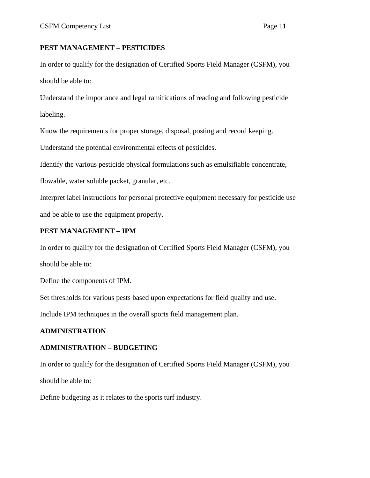## **PEST MANAGEMENT – PESTICIDES**

In order to qualify for the designation of Certified Sports Field Manager (CSFM), you should be able to:

Understand the importance and legal ramifications of reading and following pesticide labeling.

Know the requirements for proper storage, disposal, posting and record keeping.

Understand the potential environmental effects of pesticides.

Identify the various pesticide physical formulations such as emulsifiable concentrate,

flowable, water soluble packet, granular, etc.

Interpret label instructions for personal protective equipment necessary for pesticide use and be able to use the equipment properly.

## **PEST MANAGEMENT – IPM**

In order to qualify for the designation of Certified Sports Field Manager (CSFM), you should be able to:

Define the components of IPM.

Set thresholds for various pests based upon expectations for field quality and use.

Include IPM techniques in the overall sports field management plan.

# **ADMINISTRATION**

## **ADMINISTRATION – BUDGETING**

In order to qualify for the designation of Certified Sports Field Manager (CSFM), you should be able to:

Define budgeting as it relates to the sports turf industry.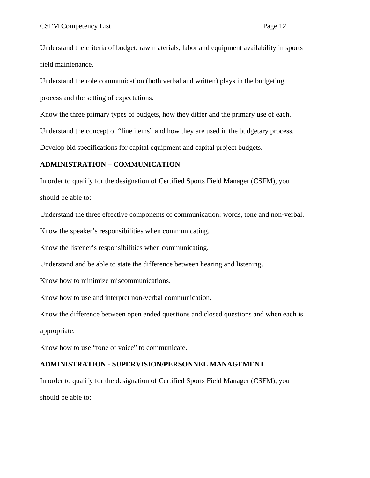Understand the criteria of budget, raw materials, labor and equipment availability in sports field maintenance.

Understand the role communication (both verbal and written) plays in the budgeting process and the setting of expectations.

Know the three primary types of budgets, how they differ and the primary use of each.

Understand the concept of "line items" and how they are used in the budgetary process.

Develop bid specifications for capital equipment and capital project budgets.

## **ADMINISTRATION – COMMUNICATION**

In order to qualify for the designation of Certified Sports Field Manager (CSFM), you should be able to:

Understand the three effective components of communication: words, tone and non-verbal.

Know the speaker's responsibilities when communicating.

Know the listener's responsibilities when communicating.

Understand and be able to state the difference between hearing and listening.

Know how to minimize miscommunications.

Know how to use and interpret non-verbal communication.

Know the difference between open ended questions and closed questions and when each is appropriate.

Know how to use "tone of voice" to communicate.

## **ADMINISTRATION - SUPERVISION/PERSONNEL MANAGEMENT**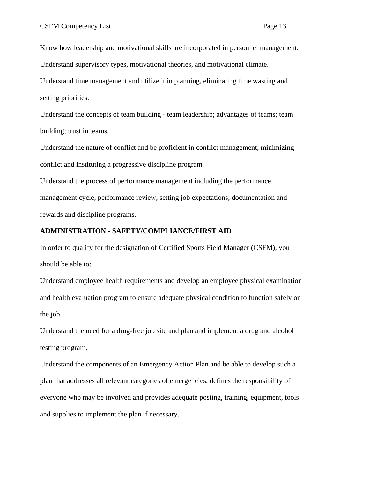Know how leadership and motivational skills are incorporated in personnel management.

Understand supervisory types, motivational theories, and motivational climate.

Understand time management and utilize it in planning, eliminating time wasting and setting priorities.

Understand the concepts of team building - team leadership; advantages of teams; team building; trust in teams.

Understand the nature of conflict and be proficient in conflict management, minimizing conflict and instituting a progressive discipline program.

Understand the process of performance management including the performance management cycle, performance review, setting job expectations, documentation and rewards and discipline programs.

#### **ADMINISTRATION - SAFETY/COMPLIANCE/FIRST AID**

In order to qualify for the designation of Certified Sports Field Manager (CSFM), you should be able to:

Understand employee health requirements and develop an employee physical examination and health evaluation program to ensure adequate physical condition to function safely on the job.

Understand the need for a drug-free job site and plan and implement a drug and alcohol testing program.

Understand the components of an Emergency Action Plan and be able to develop such a plan that addresses all relevant categories of emergencies, defines the responsibility of everyone who may be involved and provides adequate posting, training, equipment, tools and supplies to implement the plan if necessary.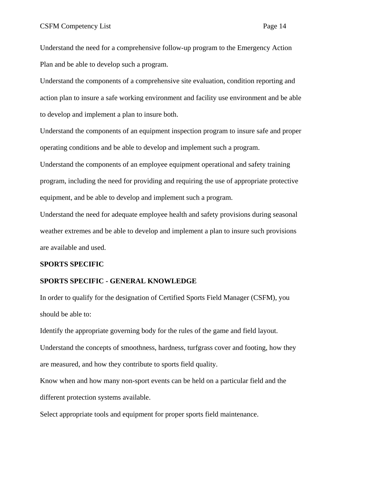Understand the need for a comprehensive follow-up program to the Emergency Action Plan and be able to develop such a program.

Understand the components of a comprehensive site evaluation, condition reporting and action plan to insure a safe working environment and facility use environment and be able to develop and implement a plan to insure both.

Understand the components of an equipment inspection program to insure safe and proper operating conditions and be able to develop and implement such a program.

Understand the components of an employee equipment operational and safety training program, including the need for providing and requiring the use of appropriate protective equipment, and be able to develop and implement such a program.

Understand the need for adequate employee health and safety provisions during seasonal weather extremes and be able to develop and implement a plan to insure such provisions are available and used.

#### **SPORTS SPECIFIC**

#### **SPORTS SPECIFIC - GENERAL KNOWLEDGE**

In order to qualify for the designation of Certified Sports Field Manager (CSFM), you should be able to:

Identify the appropriate governing body for the rules of the game and field layout.

Understand the concepts of smoothness, hardness, turfgrass cover and footing, how they are measured, and how they contribute to sports field quality.

Know when and how many non-sport events can be held on a particular field and the different protection systems available.

Select appropriate tools and equipment for proper sports field maintenance.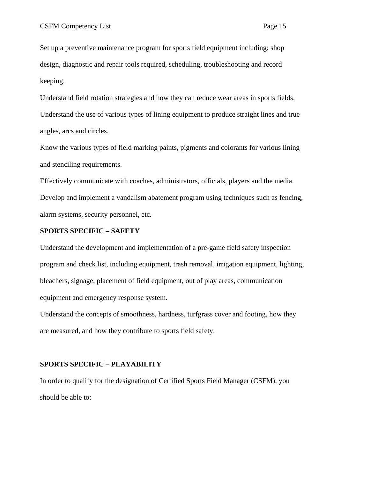Set up a preventive maintenance program for sports field equipment including: shop design, diagnostic and repair tools required, scheduling, troubleshooting and record keeping.

Understand field rotation strategies and how they can reduce wear areas in sports fields. Understand the use of various types of lining equipment to produce straight lines and true angles, arcs and circles.

Know the various types of field marking paints, pigments and colorants for various lining and stenciling requirements.

Effectively communicate with coaches, administrators, officials, players and the media. Develop and implement a vandalism abatement program using techniques such as fencing, alarm systems, security personnel, etc.

#### **SPORTS SPECIFIC – SAFETY**

Understand the development and implementation of a pre-game field safety inspection program and check list, including equipment, trash removal, irrigation equipment, lighting, bleachers, signage, placement of field equipment, out of play areas, communication equipment and emergency response system.

Understand the concepts of smoothness, hardness, turfgrass cover and footing, how they are measured, and how they contribute to sports field safety.

#### **SPORTS SPECIFIC – PLAYABILITY**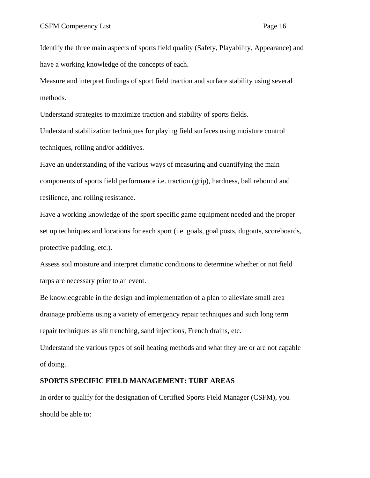Identify the three main aspects of sports field quality (Safety, Playability, Appearance) and have a working knowledge of the concepts of each.

Measure and interpret findings of sport field traction and surface stability using several methods.

Understand strategies to maximize traction and stability of sports fields.

Understand stabilization techniques for playing field surfaces using moisture control techniques, rolling and/or additives.

Have an understanding of the various ways of measuring and quantifying the main components of sports field performance i.e. traction (grip), hardness, ball rebound and resilience, and rolling resistance.

Have a working knowledge of the sport specific game equipment needed and the proper set up techniques and locations for each sport (i.e. goals, goal posts, dugouts, scoreboards, protective padding, etc.).

Assess soil moisture and interpret climatic conditions to determine whether or not field tarps are necessary prior to an event.

Be knowledgeable in the design and implementation of a plan to alleviate small area drainage problems using a variety of emergency repair techniques and such long term repair techniques as slit trenching, sand injections, French drains, etc.

Understand the various types of soil heating methods and what they are or are not capable of doing.

#### **SPORTS SPECIFIC FIELD MANAGEMENT: TURF AREAS**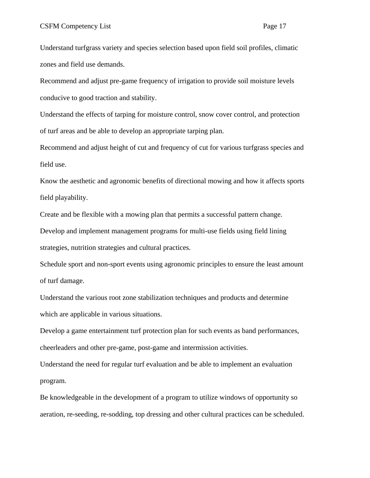Understand turfgrass variety and species selection based upon field soil profiles, climatic zones and field use demands.

Recommend and adjust pre-game frequency of irrigation to provide soil moisture levels conducive to good traction and stability.

Understand the effects of tarping for moisture control, snow cover control, and protection of turf areas and be able to develop an appropriate tarping plan.

Recommend and adjust height of cut and frequency of cut for various turfgrass species and field use.

Know the aesthetic and agronomic benefits of directional mowing and how it affects sports field playability.

Create and be flexible with a mowing plan that permits a successful pattern change.

Develop and implement management programs for multi-use fields using field lining strategies, nutrition strategies and cultural practices.

Schedule sport and non-sport events using agronomic principles to ensure the least amount of turf damage.

Understand the various root zone stabilization techniques and products and determine which are applicable in various situations.

Develop a game entertainment turf protection plan for such events as band performances, cheerleaders and other pre-game, post-game and intermission activities.

Understand the need for regular turf evaluation and be able to implement an evaluation program.

Be knowledgeable in the development of a program to utilize windows of opportunity so aeration, re-seeding, re-sodding, top dressing and other cultural practices can be scheduled.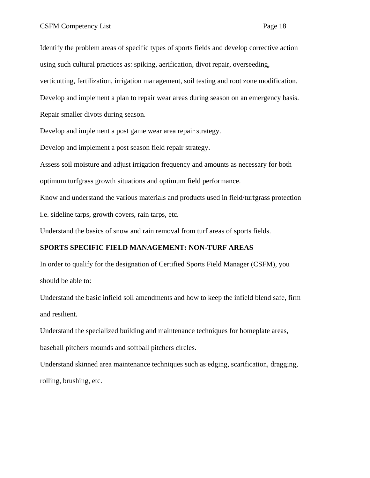Identify the problem areas of specific types of sports fields and develop corrective action using such cultural practices as: spiking, aerification, divot repair, overseeding, verticutting, fertilization, irrigation management, soil testing and root zone modification. Develop and implement a plan to repair wear areas during season on an emergency basis. Repair smaller divots during season.

Develop and implement a post game wear area repair strategy.

Develop and implement a post season field repair strategy.

Assess soil moisture and adjust irrigation frequency and amounts as necessary for both optimum turfgrass growth situations and optimum field performance.

Know and understand the various materials and products used in field/turfgrass protection i.e. sideline tarps, growth covers, rain tarps, etc.

Understand the basics of snow and rain removal from turf areas of sports fields.

## **SPORTS SPECIFIC FIELD MANAGEMENT: NON-TURF AREAS**

In order to qualify for the designation of Certified Sports Field Manager (CSFM), you should be able to:

Understand the basic infield soil amendments and how to keep the infield blend safe, firm and resilient.

Understand the specialized building and maintenance techniques for homeplate areas, baseball pitchers mounds and softball pitchers circles.

Understand skinned area maintenance techniques such as edging, scarification, dragging,

rolling, brushing, etc.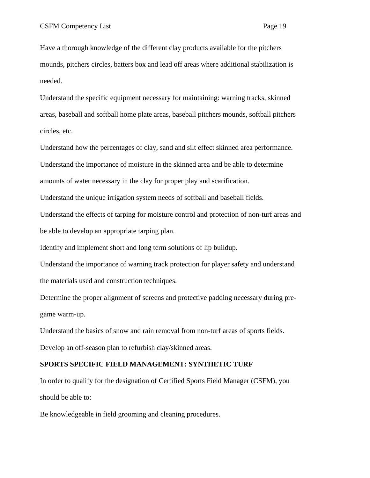Have a thorough knowledge of the different clay products available for the pitchers mounds, pitchers circles, batters box and lead off areas where additional stabilization is needed.

Understand the specific equipment necessary for maintaining: warning tracks, skinned areas, baseball and softball home plate areas, baseball pitchers mounds, softball pitchers circles, etc.

Understand how the percentages of clay, sand and silt effect skinned area performance. Understand the importance of moisture in the skinned area and be able to determine amounts of water necessary in the clay for proper play and scarification.

Understand the unique irrigation system needs of softball and baseball fields.

Understand the effects of tarping for moisture control and protection of non-turf areas and be able to develop an appropriate tarping plan.

Identify and implement short and long term solutions of lip buildup.

Understand the importance of warning track protection for player safety and understand the materials used and construction techniques.

Determine the proper alignment of screens and protective padding necessary during pregame warm-up.

Understand the basics of snow and rain removal from non-turf areas of sports fields. Develop an off-season plan to refurbish clay/skinned areas.

#### **SPORTS SPECIFIC FIELD MANAGEMENT: SYNTHETIC TURF**

In order to qualify for the designation of Certified Sports Field Manager (CSFM), you should be able to:

Be knowledgeable in field grooming and cleaning procedures.